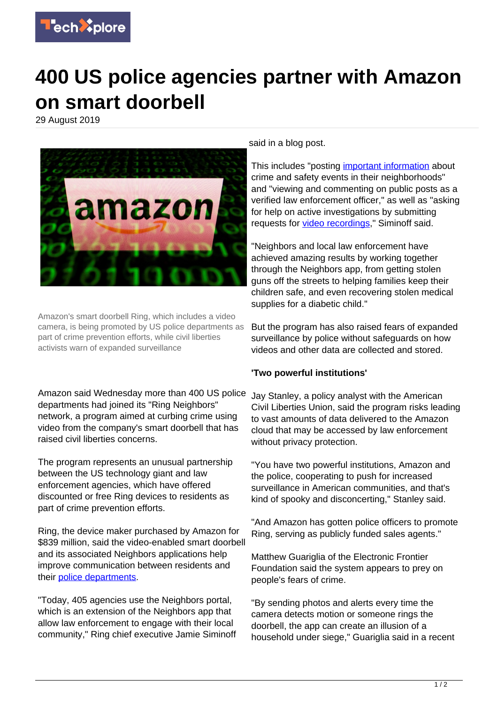

## **400 US police agencies partner with Amazon on smart doorbell**

29 August 2019



Amazon's smart doorbell Ring, which includes a video camera, is being promoted by US police departments as part of crime prevention efforts, while civil liberties activists warn of expanded surveillance

Amazon said Wednesday more than 400 US police departments had joined its "Ring Neighbors" network, a program aimed at curbing crime using video from the company's smart doorbell that has raised civil liberties concerns.

The program represents an unusual partnership between the US technology giant and law enforcement agencies, which have offered discounted or free Ring devices to residents as part of crime prevention efforts.

Ring, the device maker purchased by Amazon for \$839 million, said the video-enabled smart doorbell and its associated Neighbors applications help improve communication between residents and their [police departments.](https://techxplore.com/tags/police+departments/)

"Today, 405 agencies use the Neighbors portal, which is an extension of the Neighbors app that allow law enforcement to engage with their local community," Ring chief executive Jamie Siminoff said in a blog post.

This includes "posting [important information](https://techxplore.com/tags/important+information/) about crime and safety events in their neighborhoods" and "viewing and commenting on public posts as a verified law enforcement officer," as well as "asking for help on active investigations by submitting requests for [video recordings](https://techxplore.com/tags/video+recordings/)," Siminoff said.

"Neighbors and local law enforcement have achieved amazing results by working together through the Neighbors app, from getting stolen guns off the streets to helping families keep their children safe, and even recovering stolen medical supplies for a diabetic child."

But the program has also raised fears of expanded surveillance by police without safeguards on how videos and other data are collected and stored.

## **'Two powerful institutions'**

Jay Stanley, a policy analyst with the American Civil Liberties Union, said the program risks leading to vast amounts of data delivered to the Amazon cloud that may be accessed by law enforcement without privacy protection.

"You have two powerful institutions, Amazon and the police, cooperating to push for increased surveillance in American communities, and that's kind of spooky and disconcerting," Stanley said.

"And Amazon has gotten police officers to promote Ring, serving as publicly funded sales agents."

Matthew Guariglia of the Electronic Frontier Foundation said the system appears to prey on people's fears of crime.

"By sending photos and alerts every time the camera detects motion or someone rings the doorbell, the app can create an illusion of a household under siege," Guariglia said in a recent